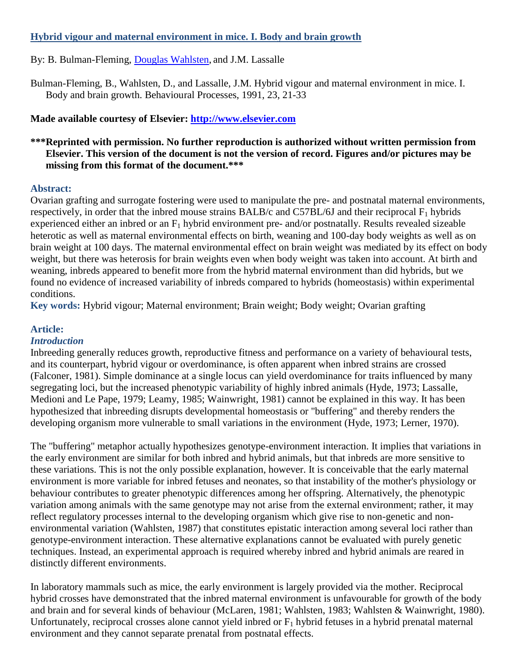# **Hybrid vigour and maternal environment in mice. I. Body and brain growth**

# By: B. Bulman-Fleming, Douglas [Wahlsten,](http://libres.uncg.edu/ir/uncg/clist.aspx?id=3463) and J.M. Lassalle

Bulman-Fleming, B., Wahlsten, D., and Lassalle, J.M. Hybrid vigour and maternal environment in mice. I. Body and brain growth. Behavioural Processes, 1991, 23, 21-33

# **Made available courtesy of Elsevier: [http://www.elsevier.com](http://www.elsevier.com/)**

# **\*\*\*Reprinted with permission. No further reproduction is authorized without written permission from Elsevier. This version of the document is not the version of record. Figures and/or pictures may be missing from this format of the document.\*\*\***

#### **Abstract:**

Ovarian grafting and surrogate fostering were used to manipulate the pre- and postnatal maternal environments, respectively, in order that the inbred mouse strains BALB/c and C57BL/6J and their reciprocal  $F_1$  hybrids experienced either an inbred or an  $F_1$  hybrid environment pre- and/or postnatally. Results revealed sizeable heterotic as well as maternal environmental effects on birth, weaning and 100-day body weights as well as on brain weight at 100 days. The maternal environmental effect on brain weight was mediated by its effect on body weight, but there was heterosis for brain weights even when body weight was taken into account. At birth and weaning, inbreds appeared to benefit more from the hybrid maternal environment than did hybrids, but we found no evidence of increased variability of inbreds compared to hybrids (homeostasis) within experimental conditions.

**Key words:** Hybrid vigour; Maternal environment; Brain weight; Body weight; Ovarian grafting

# **Article:**

### *Introduction*

Inbreeding generally reduces growth, reproductive fitness and performance on a variety of behavioural tests, and its counterpart, hybrid vigour or overdominance, is often apparent when inbred strains are crossed (Falconer, 1981). Simple dominance at a single locus can yield overdominance for traits influenced by many segregating loci, but the increased phenotypic variability of highly inbred animals (Hyde, 1973; Lassalle, Medioni and Le Pape, 1979; Leamy, 1985; Wainwright, 1981) cannot be explained in this way. It has been hypothesized that inbreeding disrupts developmental homeostasis or "buffering" and thereby renders the developing organism more vulnerable to small variations in the environment (Hyde, 1973; Lerner, 1970).

The "buffering" metaphor actually hypothesizes genotype-environment interaction. It implies that variations in the early environment are similar for both inbred and hybrid animals, but that inbreds are more sensitive to these variations. This is not the only possible explanation, however. It is conceivable that the early maternal environment is more variable for inbred fetuses and neonates, so that instability of the mother's physiology or behaviour contributes to greater phenotypic differences among her offspring. Alternatively, the phenotypic variation among animals with the same genotype may not arise from the external environment; rather, it may reflect regulatory processes internal to the developing organism which give rise to non-genetic and nonenvironmental variation (Wahlsten, 1987) that constitutes epistatic interaction among several loci rather than genotype-environment interaction. These alternative explanations cannot be evaluated with purely genetic techniques. Instead, an experimental approach is required whereby inbred and hybrid animals are reared in distinctly different environments.

In laboratory mammals such as mice, the early environment is largely provided via the mother. Reciprocal hybrid crosses have demonstrated that the inbred maternal environment is unfavourable for growth of the body and brain and for several kinds of behaviour (McLaren, 1981; Wahlsten, 1983; Wahlsten & Wainwright, 1980). Unfortunately, reciprocal crosses alone cannot yield inbred or  $F_1$  hybrid fetuses in a hybrid prenatal maternal environment and they cannot separate prenatal from postnatal effects.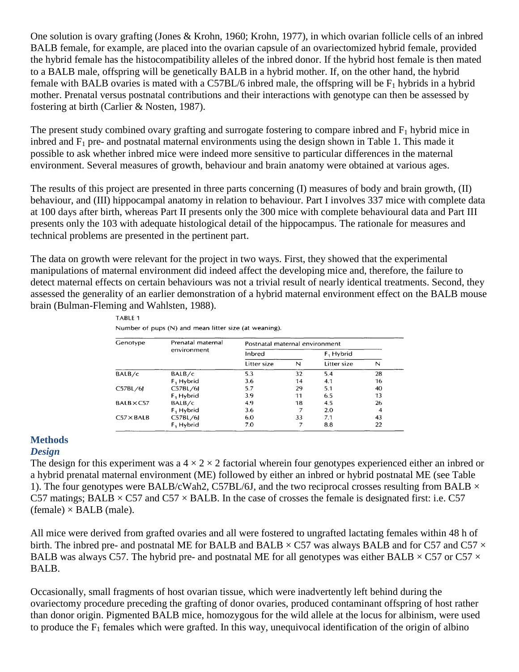One solution is ovary grafting (Jones & Krohn, 1960; Krohn, 1977), in which ovarian follicle cells of an inbred BALB female, for example, are placed into the ovarian capsule of an ovariectomized hybrid female, provided the hybrid female has the histocompatibility alleles of the inbred donor. If the hybrid host female is then mated to a BALB male, offspring will be genetically BALB in a hybrid mother. If, on the other hand, the hybrid female with BALB ovaries is mated with a C57BL/6 inbred male, the offspring will be  $F_1$  hybrids in a hybrid mother. Prenatal versus postnatal contributions and their interactions with genotype can then be assessed by fostering at birth (Carlier & Nosten, 1987).

The present study combined ovary grafting and surrogate fostering to compare inbred and  $F_1$  hybrid mice in inbred and  $F_1$  pre- and postnatal maternal environments using the design shown in Table 1. This made it possible to ask whether inbred mice were indeed more sensitive to particular differences in the maternal environment. Several measures of growth, behaviour and brain anatomy were obtained at various ages.

The results of this project are presented in three parts concerning (I) measures of body and brain growth, (II) behaviour, and (III) hippocampal anatomy in relation to behaviour. Part I involves 337 mice with complete data at 100 days after birth, whereas Part II presents only the 300 mice with complete behavioural data and Part III presents only the 103 with adequate histological detail of the hippocampus. The rationale for measures and technical problems are presented in the pertinent part.

The data on growth were relevant for the project in two ways. First, they showed that the experimental manipulations of maternal environment did indeed affect the developing mice and, therefore, the failure to detect maternal effects on certain behaviours was not a trivial result of nearly identical treatments. Second, they assessed the generality of an earlier demonstration of a hybrid maternal environment effect on the BALB mouse brain (Bulman-Fleming and Wahlsten, 1988).

| Genotype          | Prenatal maternal<br>environment | Postnatal maternal environment |    |                       |    |  |  |
|-------------------|----------------------------------|--------------------------------|----|-----------------------|----|--|--|
|                   |                                  | Inbred                         |    | F <sub>1</sub> Hybrid |    |  |  |
|                   |                                  | Litter size                    | N  | Litter size           | N  |  |  |
| BALB/c            | BALB/c                           | 5.3                            | 32 | 5.4                   | 28 |  |  |
|                   | $F_1$ Hybrid                     | 3.6                            | 14 | 4.1                   | 16 |  |  |
| C57BL/6           | C57BL/6                          | 5.7                            | 29 | 5.1                   | 40 |  |  |
|                   | $F_1$ Hybrid                     | 3.9                            | 11 | 6.5                   | 13 |  |  |
| $BALB \times C57$ | BALB/c                           | 4.9                            | 18 | 4.5                   | 26 |  |  |
|                   | $F_1$ Hybrid                     | 3.6                            |    | 2.0                   |    |  |  |
| $C57 \times BALB$ | C57BL/6J                         | 6.0                            | 33 | 7.1                   | 43 |  |  |
|                   | $F1$ Hybrid                      | 7.0                            |    | 8.8                   | 22 |  |  |

TABLE 1

Number of pups (N) and mean litter size (at weaning).

#### **Methods**

#### *Design*

The design for this experiment was a  $4 \times 2 \times 2$  factorial wherein four genotypes experienced either an inbred or a hybrid prenatal maternal environment (ME) followed by either an inbred or hybrid postnatal ME (see Table 1). The four genotypes were BALB/cWah2, C57BL/6J, and the two reciprocal crosses resulting from BALB  $\times$ C57 matings; BALB  $\times$  C57 and C57  $\times$  BALB. In the case of crosses the female is designated first: i.e. C57  $(female) \times BALB$  (male).

All mice were derived from grafted ovaries and all were fostered to ungrafted lactating females within 48 h of birth. The inbred pre- and postnatal ME for BALB and BALB  $\times$  C57 was always BALB and for C57 and C57  $\times$ BALB was always C57. The hybrid pre- and postnatal ME for all genotypes was either BALB  $\times$  C57 or C57  $\times$ BALB.

Occasionally, small fragments of host ovarian tissue, which were inadvertently left behind during the ovariectomy procedure preceding the grafting of donor ovaries, produced contaminant offspring of host rather than donor origin. Pigmented BALB mice, homozygous for the wild allele at the locus for albinism, were used to produce the  $F_1$  females which were grafted. In this way, unequivocal identification of the origin of albino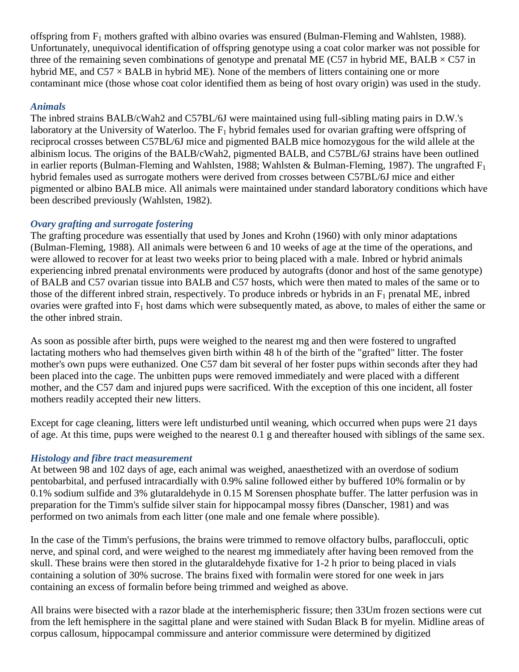offspring from  $F_1$  mothers grafted with albino ovaries was ensured (Bulman-Fleming and Wahlsten, 1988). Unfortunately, unequivocal identification of offspring genotype using a coat color marker was not possible for three of the remaining seven combinations of genotype and prenatal ME (C57 in hybrid ME, BALB  $\times$  C57 in hybrid ME, and  $C57 \times BALB$  in hybrid ME). None of the members of litters containing one or more contaminant mice (those whose coat color identified them as being of host ovary origin) was used in the study.

### *Animals*

The inbred strains BALB/cWah2 and C57BL/6J were maintained using full-sibling mating pairs in D.W.'s laboratory at the University of Waterloo. The  $F_1$  hybrid females used for ovarian grafting were offspring of reciprocal crosses between C57BL/6J mice and pigmented BALB mice homozygous for the wild allele at the albinism locus. The origins of the BALB/cWah2, pigmented BALB, and C57BL/6J strains have been outlined in earlier reports (Bulman-Fleming and Wahlsten, 1988; Wahlsten & Bulman-Fleming, 1987). The ungrafted  $F_1$ hybrid females used as surrogate mothers were derived from crosses between C57BL/6J mice and either pigmented or albino BALB mice. All animals were maintained under standard laboratory conditions which have been described previously (Wahlsten, 1982).

### *Ovary grafting and surrogate fostering*

The grafting procedure was essentially that used by Jones and Krohn (1960) with only minor adaptations (Bulman-Fleming, 1988). All animals were between 6 and 10 weeks of age at the time of the operations, and were allowed to recover for at least two weeks prior to being placed with a male. Inbred or hybrid animals experiencing inbred prenatal environments were produced by autografts (donor and host of the same genotype) of BALB and C57 ovarian tissue into BALB and C57 hosts, which were then mated to males of the same or to those of the different inbred strain, respectively. To produce inbreds or hybrids in an  $F_1$  prenatal ME, inbred ovaries were grafted into  $F_1$  host dams which were subsequently mated, as above, to males of either the same or the other inbred strain.

As soon as possible after birth, pups were weighed to the nearest mg and then were fostered to ungrafted lactating mothers who had themselves given birth within 48 h of the birth of the "grafted" litter. The foster mother's own pups were euthanized. One C57 dam bit several of her foster pups within seconds after they had been placed into the cage. The unbitten pups were removed immediately and were placed with a different mother, and the C57 dam and injured pups were sacrificed. With the exception of this one incident, all foster mothers readily accepted their new litters.

Except for cage cleaning, litters were left undisturbed until weaning, which occurred when pups were 21 days of age. At this time, pups were weighed to the nearest 0.1 g and thereafter housed with siblings of the same sex.

### *Histology and fibre tract measurement*

At between 98 and 102 days of age, each animal was weighed, anaesthetized with an overdose of sodium pentobarbital, and perfused intracardially with 0.9% saline followed either by buffered 10% formalin or by 0.1% sodium sulfide and 3% glutaraldehyde in 0.15 M Sorensen phosphate buffer. The latter perfusion was in preparation for the Timm's sulfide silver stain for hippocampal mossy fibres (Danscher, 1981) and was performed on two animals from each litter (one male and one female where possible).

In the case of the Timm's perfusions, the brains were trimmed to remove olfactory bulbs, paraflocculi, optic nerve, and spinal cord, and were weighed to the nearest mg immediately after having been removed from the skull. These brains were then stored in the glutaraldehyde fixative for 1-2 h prior to being placed in vials containing a solution of 30% sucrose. The brains fixed with formalin were stored for one week in jars containing an excess of formalin before being trimmed and weighed as above.

All brains were bisected with a razor blade at the interhemispheric fissure; then 33Um frozen sections were cut from the left hemisphere in the sagittal plane and were stained with Sudan Black B for myelin. Midline areas of corpus callosum, hippocampal commissure and anterior commissure were determined by digitized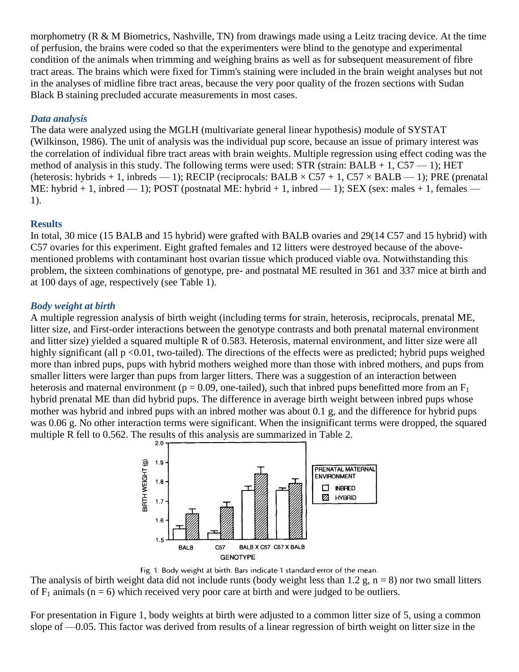morphometry (R & M Biometrics, Nashville, TN) from drawings made using a Leitz tracing device. At the time of perfusion, the brains were coded so that the experimenters were blind to the genotype and experimental condition of the animals when trimming and weighing brains as well as for subsequent measurement of fibre tract areas. The brains which were fixed for Timm's staining were included in the brain weight analyses but not in the analyses of midline fibre tract areas, because the very poor quality of the frozen sections with Sudan Black B staining precluded accurate measurements in most cases.

# *Data analysis*

The data were analyzed using the MGLH (multivariate general linear hypothesis) module of SYSTAT (Wilkinson, 1986). The unit of analysis was the individual pup score, because an issue of primary interest was the correlation of individual fibre tract areas with brain weights. Multiple regression using effect coding was the method of analysis in this study. The following terms were used:  $STR$  (strain: BALB + 1, C57 – 1); HET (heterosis: hybrids + 1, inbreds — 1); RECIP (reciprocals: BALB  $\times$  C57 + 1, C57  $\times$  BALB — 1); PRE (prenatal ME: hybrid + 1, inbred  $-$  1); POST (postnatal ME: hybrid + 1, inbred  $-$  1); SEX (sex: males + 1, females  $-$ 1).

### **Results**

In total, 30 mice (15 BALB and 15 hybrid) were grafted with BALB ovaries and 29(14 C57 and 15 hybrid) with C57 ovaries for this experiment. Eight grafted females and 12 litters were destroyed because of the abovementioned problems with contaminant host ovarian tissue which produced viable ova. Notwithstanding this problem, the sixteen combinations of genotype, pre- and postnatal ME resulted in 361 and 337 mice at birth and at 100 days of age, respectively (see Table 1).

### *Body weight at birth*

A multiple regression analysis of birth weight (including terms for strain, heterosis, reciprocals, prenatal ME, litter size, and First-order interactions between the genotype contrasts and both prenatal maternal environment and litter size) yielded a squared multiple R of 0.583. Heterosis, maternal environment, and litter size were all highly significant (all  $p < 0.01$ , two-tailed). The directions of the effects were as predicted; hybrid pups weighed more than inbred pups, pups with hybrid mothers weighed more than those with inbred mothers, and pups from smaller litters were larger than pups from larger litters. There was a suggestion of an interaction between heterosis and maternal environment ( $p = 0.09$ , one-tailed), such that inbred pups benefitted more from an  $F_1$ hybrid prenatal ME than did hybrid pups. The difference in average birth weight between inbred pups whose mother was hybrid and inbred pups with an inbred mother was about 0.1 g, and the difference for hybrid pups was 0.06 g. No other interaction terms were significant. When the insignificant terms were dropped, the squared multiple R fell to 0.562. The results of this analysis are summarized in Table 2.



Fig. 1. Body weight at birth. Bars indicate 1 standard error of the mean.

The analysis of birth weight data did not include runts (body weight less than 1.2 g,  $n = 8$ ) nor two small litters of  $F_1$  animals (n = 6) which received very poor care at birth and were judged to be outliers.

For presentation in Figure 1, body weights at birth were adjusted to a common litter size of 5, using a common slope of —0.05. This factor was derived from results of a linear regression of birth weight on litter size in the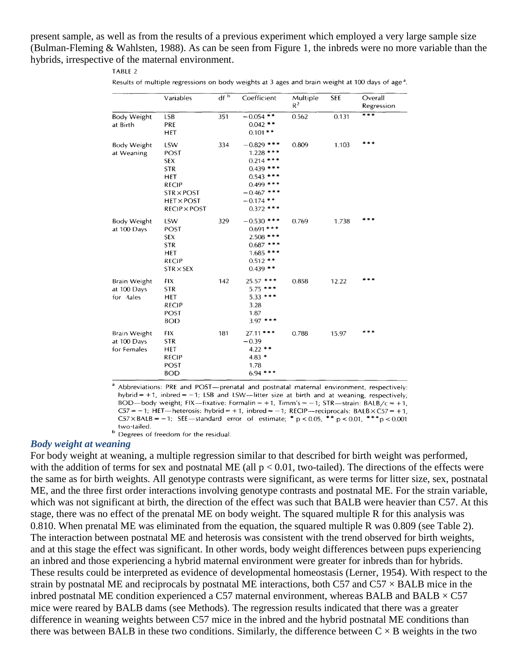present sample, as well as from the results of a previous experiment which employed a very large sample size (Bulman-Fleming & Wahlsten, 1988). As can be seen from Figure 1, the inbreds were no more variable than the hybrids, irrespective of the maternal environment.

#### TABLE 2

|  | Results of multiple regressions on body weights at 3 ages and brain weight at 100 days of age <sup>a</sup> . |  |  |
|--|--------------------------------------------------------------------------------------------------------------|--|--|
|--|--------------------------------------------------------------------------------------------------------------|--|--|

|                                                 | Variables                                                                                                                       | df <sup>b</sup> | Coefficient                                                                                                                     | Multiple<br>$R^2$ | <b>SEE</b> | Overall<br>Regression |
|-------------------------------------------------|---------------------------------------------------------------------------------------------------------------------------------|-----------------|---------------------------------------------------------------------------------------------------------------------------------|-------------------|------------|-----------------------|
| Body Weight<br>at Birth                         | LSB<br>PRE<br><b>HET</b>                                                                                                        | 351             | $-0.054$ **<br>$0.042$ **<br>$0.101**$                                                                                          | 0.562             | 0.131      | ***                   |
| <b>Body Weight</b><br>at Weaning                | LSW<br>POST<br><b>SEX</b><br><b>STR</b><br>HET<br><b>RECIP</b><br>$STR \times POST$<br><b>HET × POST</b><br><b>RECIP × POST</b> | 334             | $-0.829$ ***<br>$1.228$ ***<br>$0.214$ ***<br>$0.439$ ***<br>0.543<br>$0.499$ ***<br>$-0.467$ ***<br>$-0.174$ **<br>$0.372$ *** | 0.809             | 1.103      | ***                   |
| <b>Body Weight</b><br>at 100 Days               | LSW<br>POST<br><b>SEX</b><br><b>STR</b><br><b>HET</b><br><b>RECIP</b><br>$STR \times SEX$                                       | 329             | $-0.530$ ***<br>$0.691$ ***<br>$2.508$ ***<br>$0.687$ ***<br>$1.685$ ***<br>$0.512**$<br>$0.439$ **                             | 0.769             | 1.738      |                       |
| <b>Brain Weight</b><br>at 100 Days<br>for Aales | FIX<br><b>STR</b><br>HET<br><b>RECIP</b><br>POST<br><b>BOD</b>                                                                  | 142             | $25.57$ ***<br>$5.75$ ***<br>$5.33$ ***<br>3.28<br>1.87<br>$3.97$ ***                                                           | 0.858             | 12.22      |                       |
| Brain Weight<br>at 100 Days<br>for Females      | <b>FIX</b><br><b>STR</b><br>HET<br><b>RECIP</b><br><b>POST</b><br><b>BOD</b>                                                    | 181             | $27.11$ ***<br>$-0.39$<br>$4.22$ **<br>$4.83*$<br>1.78<br>$6.94$ ***                                                            | 0.788             | 15.97      | * * *                 |

<sup>a</sup> Abbreviations: PRE and POST-prenatal and postnatal maternal environment, respectively: hybrid = +1, inbred = -1; LSB and LSW-litter size at birth and at weaning, respectively; BOD-body weight; FIX-fixative: Formalin = +1, Timm's =  $-1$ ; STR-strain: BALB/c = +1, C57 = -1; HET—heterosis: hybrid = +1, inbred = -1; RECIP—reciprocals: BALB  $\times$ C57 = +1,  $C57 \times BALB = -1$ ; SEE—standard error of estimate; \* p < 0.05, \*\* p < 0.01, \*\*\* p < 0.001 two-tailed.<br><sup>b</sup> Degrees of freedom for the residual.

#### *Body weight at weaning*

For body weight at weaning, a multiple regression similar to that described for birth weight was performed, with the addition of terms for sex and postnatal ME (all  $p < 0.01$ , two-tailed). The directions of the effects were the same as for birth weights. All genotype contrasts were significant, as were terms for litter size, sex, postnatal ME, and the three first order interactions involving genotype contrasts and postnatal ME. For the strain variable, which was not significant at birth, the direction of the effect was such that BALB were heavier than C57. At this stage, there was no effect of the prenatal ME on body weight. The squared multiple R for this analysis was 0.810. When prenatal ME was eliminated from the equation, the squared multiple R was 0.809 (see Table 2). The interaction between postnatal ME and heterosis was consistent with the trend observed for birth weights, and at this stage the effect was significant. In other words, body weight differences between pups experiencing an inbred and those experiencing a hybrid maternal environment were greater for inbreds than for hybrids. These results could be interpreted as evidence of developmental homeostasis (Lerner, 1954). With respect to the strain by postnatal ME and reciprocals by postnatal ME interactions, both C57 and C57  $\times$  BALB mice in the inbred postnatal ME condition experienced a C57 maternal environment, whereas BALB and BALB  $\times$  C57 mice were reared by BALB dams (see Methods). The regression results indicated that there was a greater difference in weaning weights between C57 mice in the inbred and the hybrid postnatal ME conditions than there was between BALB in these two conditions. Similarly, the difference between  $C \times B$  weights in the two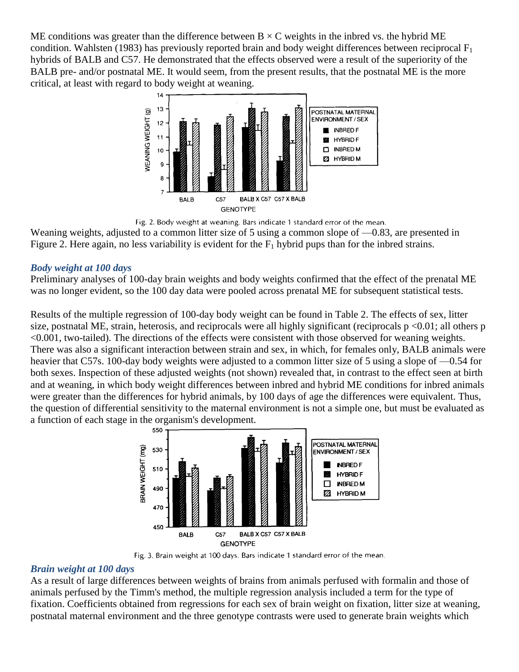ME conditions was greater than the difference between  $B \times C$  weights in the inbred vs. the hybrid ME condition. Wahlsten (1983) has previously reported brain and body weight differences between reciprocal  $F_1$ hybrids of BALB and C57. He demonstrated that the effects observed were a result of the superiority of the BALB pre- and/or postnatal ME. It would seem, from the present results, that the postnatal ME is the more critical, at least with regard to body weight at weaning.



Fig. 2. Body weight at weaning. Bars indicate 1 standard error of the mean.

Weaning weights, adjusted to a common litter size of 5 using a common slope of  $-0.83$ , are presented in Figure 2. Here again, no less variability is evident for the  $F_1$  hybrid pups than for the inbred strains.

#### *Body weight at 100 days*

Preliminary analyses of 100-day brain weights and body weights confirmed that the effect of the prenatal ME was no longer evident, so the 100 day data were pooled across prenatal ME for subsequent statistical tests.

Results of the multiple regression of 100-day body weight can be found in Table 2. The effects of sex, litter size, postnatal ME, strain, heterosis, and reciprocals were all highly significant (reciprocals  $p \le 0.01$ ; all others p <0.001, two-tailed). The directions of the effects were consistent with those observed for weaning weights. There was also a significant interaction between strain and sex, in which, for females only, BALB animals were heavier that C57s. 100-day body weights were adjusted to a common litter size of 5 using a slope of —0.54 for both sexes. Inspection of these adjusted weights (not shown) revealed that, in contrast to the effect seen at birth and at weaning, in which body weight differences between inbred and hybrid ME conditions for inbred animals were greater than the differences for hybrid animals, by 100 days of age the differences were equivalent. Thus, the question of differential sensitivity to the maternal environment is not a simple one, but must be evaluated as a function of each stage in the organism's development.



Fig. 3. Brain weight at 100 days. Bars indicate 1 standard error of the mean.

### *Brain weight at 100 days*

As a result of large differences between weights of brains from animals perfused with formalin and those of animals perfused by the Timm's method, the multiple regression analysis included a term for the type of fixation. Coefficients obtained from regressions for each sex of brain weight on fixation, litter size at weaning, postnatal maternal environment and the three genotype contrasts were used to generate brain weights which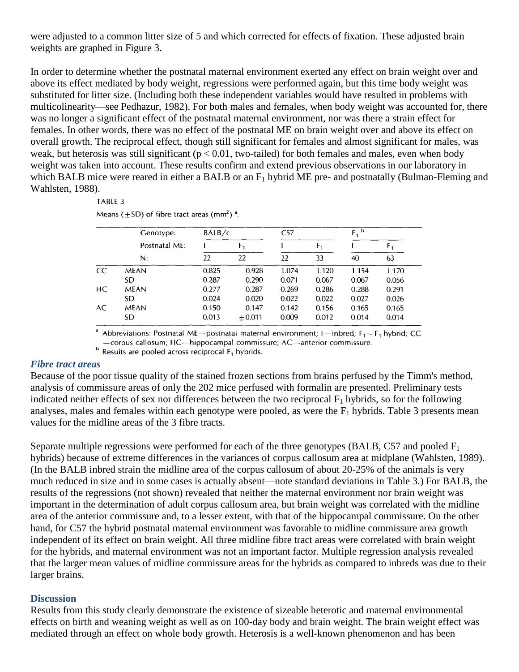were adjusted to a common litter size of 5 and which corrected for effects of fixation. These adjusted brain weights are graphed in Figure 3.

In order to determine whether the postnatal maternal environment exerted any effect on brain weight over and above its effect mediated by body weight, regressions were performed again, but this time body weight was substituted for litter size. (Including both these independent variables would have resulted in problems with multicolinearity—see Pedhazur, 1982). For both males and females, when body weight was accounted for, there was no longer a significant effect of the postnatal maternal environment, nor was there a strain effect for females. In other words, there was no effect of the postnatal ME on brain weight over and above its effect on overall growth. The reciprocal effect, though still significant for females and almost significant for males, was weak, but heterosis was still significant ( $p < 0.01$ , two-tailed) for both females and males, even when body weight was taken into account. These results confirm and extend previous observations in our laboratory in which BALB mice were reared in either a BALB or an  $F_1$  hybrid ME pre- and postnatally (Bulman-Fleming and Wahlsten, 1988).

#### TABLE 3

|    | Genotype:     | BALB/c |          | C57   |       | b<br>F, |       |
|----|---------------|--------|----------|-------|-------|---------|-------|
|    | Postnatal ME: |        | F,       |       | F,    |         |       |
|    | $N$ :         | 22     | 22       | 22    | 33    | 40      | 63    |
| CC | <b>MEAN</b>   | 0.825  | 0.928    | 1.074 | 1.120 | 1.154   | 1.170 |
|    | SD.           | 0.287  | 0.290    | 0.071 | 0.067 | 0.067   | 0.056 |
| HС | <b>MEAN</b>   | 0.277  | 0.287    | 0.269 | 0.286 | 0.288   | 0.291 |
|    | SD.           | 0.024  | 0.020    | 0.022 | 0.022 | 0.027   | 0.026 |
| AC | MEAN          | 0.150  | 0.147    | 0.142 | 0.156 | 0.165   | 0.165 |
|    | SD            | 0.013  | $+0.011$ | 0.009 | 0.012 | 0.014   | 0.014 |

<sup>a</sup> Abbreviations: Postnatal ME-postnatal maternal environment; I-inbred;  $F_1-F_1$  hybrid; CC -corpus callosum; HC-hippocampal commissure; AC-anterior commissure.

 $<sup>b</sup>$  Results are pooled across reciprocal  $F_1$  hybrids.</sup>

#### *Fibre tract areas*

Because of the poor tissue quality of the stained frozen sections from brains perfused by the Timm's method, analysis of commissure areas of only the 202 mice perfused with formalin are presented. Preliminary tests indicated neither effects of sex nor differences between the two reciprocal  $F_1$  hybrids, so for the following analyses, males and females within each genotype were pooled, as were the  $F_1$  hybrids. Table 3 presents mean values for the midline areas of the 3 fibre tracts.

Separate multiple regressions were performed for each of the three genotypes (BALB, C57 and pooled  $F_1$ ) hybrids) because of extreme differences in the variances of corpus callosum area at midplane (Wahlsten, 1989). (In the BALB inbred strain the midline area of the corpus callosum of about 20-25% of the animals is very much reduced in size and in some cases is actually absent—note standard deviations in Table 3.) For BALB, the results of the regressions (not shown) revealed that neither the maternal environment nor brain weight was important in the determination of adult corpus callosum area, but brain weight was correlated with the midline area of the anterior commissure and, to a lesser extent, with that of the hippocampal commissure. On the other hand, for C57 the hybrid postnatal maternal environment was favorable to midline commissure area growth independent of its effect on brain weight. All three midline fibre tract areas were correlated with brain weight for the hybrids, and maternal environment was not an important factor. Multiple regression analysis revealed that the larger mean values of midline commissure areas for the hybrids as compared to inbreds was due to their larger brains.

#### **Discussion**

Results from this study clearly demonstrate the existence of sizeable heterotic and maternal environmental effects on birth and weaning weight as well as on 100-day body and brain weight. The brain weight effect was mediated through an effect on whole body growth. Heterosis is a well-known phenomenon and has been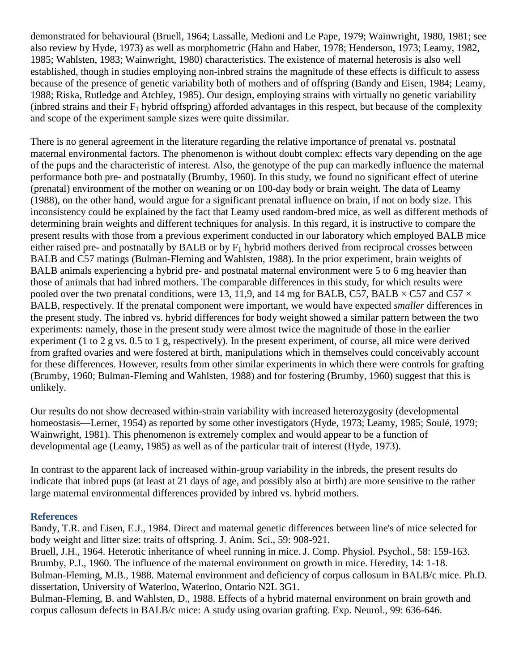demonstrated for behavioural (Bruell, 1964; Lassalle, Medioni and Le Pape, 1979; Wainwright, 1980, 1981; see also review by Hyde, 1973) as well as morphometric (Hahn and Haber, 1978; Henderson, 1973; Leamy, 1982, 1985; Wahlsten, 1983; Wainwright, 1980) characteristics. The existence of maternal heterosis is also well established, though in studies employing non-inbred strains the magnitude of these effects is difficult to assess because of the presence of genetic variability both of mothers and of offspring (Bandy and Eisen, 1984; Leamy, 1988; Riska, Rutledge and Atchley, 1985). Our design, employing strains with virtually no genetic variability (inbred strains and their  $F_1$  hybrid offspring) afforded advantages in this respect, but because of the complexity and scope of the experiment sample sizes were quite dissimilar.

There is no general agreement in the literature regarding the relative importance of prenatal vs. postnatal maternal environmental factors. The phenomenon is without doubt complex: effects vary depending on the age of the pups and the characteristic of interest. Also, the genotype of the pup can markedly influence the maternal performance both pre- and postnatally (Brumby, 1960). In this study, we found no significant effect of uterine (prenatal) environment of the mother on weaning or on 100-day body or brain weight. The data of Leamy (1988), on the other hand, would argue for a significant prenatal influence on brain, if not on body size. This inconsistency could be explained by the fact that Leamy used random-bred mice, as well as different methods of determining brain weights and different techniques for analysis. In this regard, it is instructive to compare the present results with those from a previous experiment conducted in our laboratory which employed BALB mice either raised pre- and postnatally by BALB or by  $F_1$  hybrid mothers derived from reciprocal crosses between BALB and C57 matings (Bulman-Fleming and Wahlsten, 1988). In the prior experiment, brain weights of BALB animals experiencing a hybrid pre- and postnatal maternal environment were 5 to 6 mg heavier than those of animals that had inbred mothers. The comparable differences in this study, for which results were pooled over the two prenatal conditions, were 13, 11,9, and 14 mg for BALB, C57, BALB  $\times$  C57 and C57  $\times$ BALB, respectively. If the prenatal component were important, we would have expected *smaller* differences in the present study. The inbred vs. hybrid differences for body weight showed a similar pattern between the two experiments: namely, those in the present study were almost twice the magnitude of those in the earlier experiment (1 to 2 g vs. 0.5 to 1 g, respectively). In the present experiment, of course, all mice were derived from grafted ovaries and were fostered at birth, manipulations which in themselves could conceivably account for these differences. However, results from other similar experiments in which there were controls for grafting (Brumby, 1960; Bulman-Fleming and Wahlsten, 1988) and for fostering (Brumby, 1960) suggest that this is unlikely.

Our results do not show decreased within-strain variability with increased heterozygosity (developmental homeostasis—Lerner, 1954) as reported by some other investigators (Hyde, 1973; Leamy, 1985; Soulé, 1979; Wainwright, 1981). This phenomenon is extremely complex and would appear to be a function of developmental age (Leamy, 1985) as well as of the particular trait of interest (Hyde, 1973).

In contrast to the apparent lack of increased within-group variability in the inbreds, the present results do indicate that inbred pups (at least at 21 days of age, and possibly also at birth) are more sensitive to the rather large maternal environmental differences provided by inbred vs. hybrid mothers.

#### **References**

Bandy, T.R. and Eisen, E.J., 1984. Direct and maternal genetic differences between line's of mice selected for body weight and litter size: traits of offspring. J. Anim. Sci., 59: 908-921.

Bruell, J.H., 1964. Heterotic inheritance of wheel running in mice. J. Comp. Physiol. Psychol., 58: 159-163. Brumby, P.J., 1960. The influence of the maternal environment on growth in mice. Heredity, 14: 1-18. Bulman-Fleming, M.B., 1988. Maternal environment and deficiency of corpus callosum in BALB/c mice. Ph.D. dissertation, University of Waterloo, Waterloo, Ontario N2L 3G1.

Bulman-Fleming, B. and Wahlsten, D., 1988. Effects of a hybrid maternal environment on brain growth and corpus callosum defects in BALB/c mice: A study using ovarian grafting. Exp. Neurol., 99: 636-646.